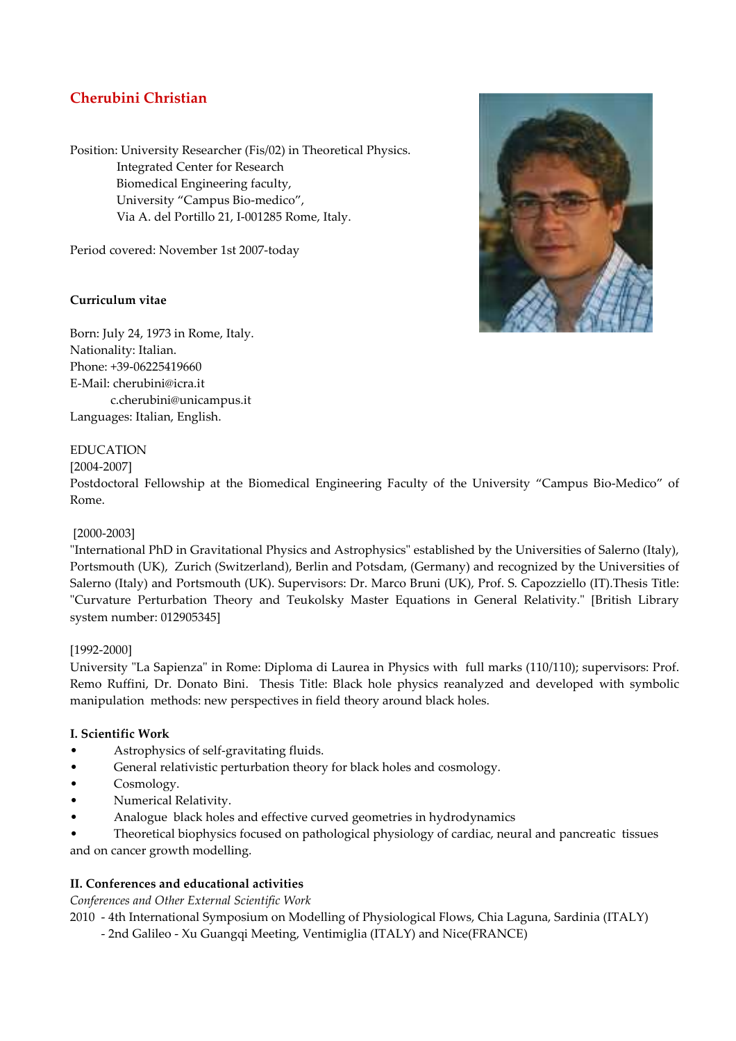# **Cherubini Christian**

Position: University Researcher (Fis/02) in Theoretical Physics. Integrated Center for Research Biomedical Engineering faculty, University "Campus Bio-medico", Via A. del Portillo 21, I-001285 Rome, Italy.

Period covered: November 1st 2007-today

# **Curriculum vitae**

Born: July 24, 1973 in Rome, Italy. Nationality: Italian. Phone: +39-06225419660 E-Mail: cherubini@icra.it c.cherubini@unicampus.it Languages: Italian, English.

# EDUCATION

## [2004-2007]

Postdoctoral Fellowship at the Biomedical Engineering Faculty of the University "Campus Bio-Medico" of Rome.

## [2000-2003]

"International PhD in Gravitational Physics and Astrophysics" established by the Universities of Salerno (Italy), Portsmouth (UK), Zurich (Switzerland), Berlin and Potsdam, (Germany) and recognized by the Universities of Salerno (Italy) and Portsmouth (UK). Supervisors: Dr. Marco Bruni (UK), Prof. S. Capozziello (IT).Thesis Title: "Curvature Perturbation Theory and Teukolsky Master Equations in General Relativity." [British Library system number: 012905345]

## [1992-2000]

University "La Sapienza" in Rome: Diploma di Laurea in Physics with full marks (110/110); supervisors: Prof. Remo Ruffini, Dr. Donato Bini. Thesis Title: Black hole physics reanalyzed and developed with symbolic manipulation methods: new perspectives in field theory around black holes.

## **I. Scientific Work**

- Astrophysics of self-gravitating fluids.
- General relativistic perturbation theory for black holes and cosmology.
- Cosmology.
- Numerical Relativity.
- Analogue black holes and effective curved geometries in hydrodynamics

• Theoretical biophysics focused on pathological physiology of cardiac, neural and pancreatic tissues and on cancer growth modelling.

## **II. Conferences and educational activities**

*Conferences and Other External Scientific Work* 

2010 - 4th International Symposium on Modelling of Physiological Flows, Chia Laguna, Sardinia (ITALY)

- 2nd Galileo - Xu Guangqi Meeting, Ventimiglia (ITALY) and Nice(FRANCE)